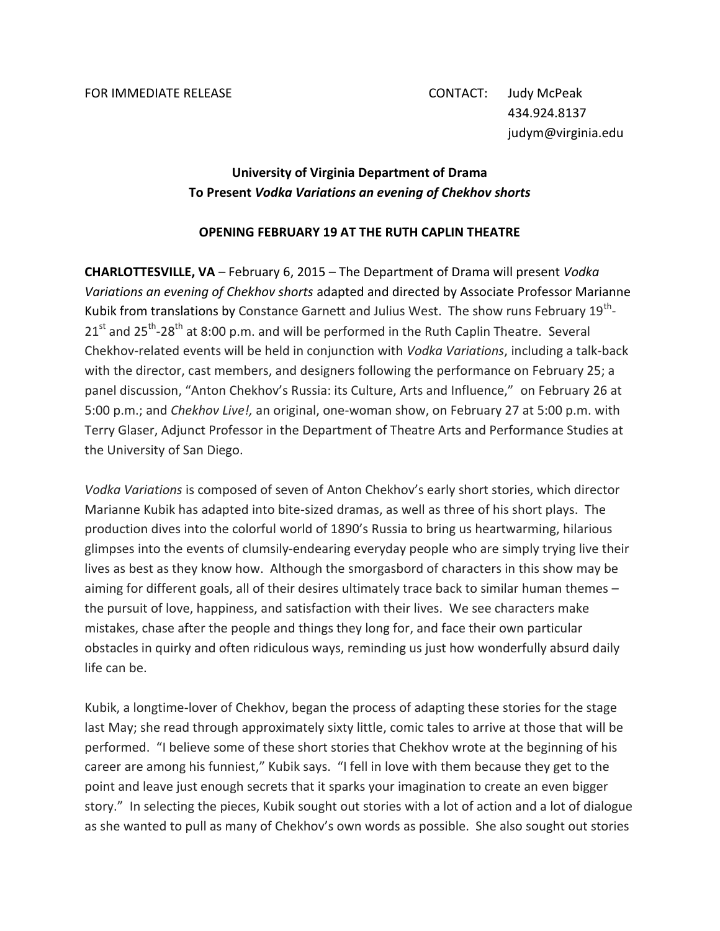## **University of Virginia Department of Drama To Present** *Vodka Variations an evening of Chekhov shorts*

## **OPENING FEBRUARY 19 AT THE RUTH CAPLIN THEATRE**

**CHARLOTTESVILLE, VA** – February 6, 2015 – The Department of Drama will present *Vodka Variations an evening of Chekhov shorts* adapted and directed by Associate Professor Marianne Kubik from translations by Constance Garnett and Julius West. The show runs February 19<sup>th</sup>- $21<sup>st</sup>$  and  $25<sup>th</sup>$ -28<sup>th</sup> at 8:00 p.m. and will be performed in the Ruth Caplin Theatre. Several Chekhov-related events will be held in conjunction with *Vodka Variations*, including a talk-back with the director, cast members, and designers following the performance on February 25; a panel discussion, "Anton Chekhov's Russia: its Culture, Arts and Influence," on February 26 at 5:00 p.m.; and *Chekhov Live!,* an original, one-woman show, on February 27 at 5:00 p.m. with Terry Glaser, Adjunct Professor in the Department of Theatre Arts and Performance Studies at the University of San Diego.

*Vodka Variations* is composed of seven of Anton Chekhov's early short stories, which director Marianne Kubik has adapted into bite-sized dramas, as well as three of his short plays. The production dives into the colorful world of 1890's Russia to bring us heartwarming, hilarious glimpses into the events of clumsily-endearing everyday people who are simply trying live their lives as best as they know how. Although the smorgasbord of characters in this show may be aiming for different goals, all of their desires ultimately trace back to similar human themes – the pursuit of love, happiness, and satisfaction with their lives. We see characters make mistakes, chase after the people and things they long for, and face their own particular obstacles in quirky and often ridiculous ways, reminding us just how wonderfully absurd daily life can be.

Kubik, a longtime-lover of Chekhov, began the process of adapting these stories for the stage last May; she read through approximately sixty little, comic tales to arrive at those that will be performed. "I believe some of these short stories that Chekhov wrote at the beginning of his career are among his funniest," Kubik says. "I fell in love with them because they get to the point and leave just enough secrets that it sparks your imagination to create an even bigger story." In selecting the pieces, Kubik sought out stories with a lot of action and a lot of dialogue as she wanted to pull as many of Chekhov's own words as possible. She also sought out stories